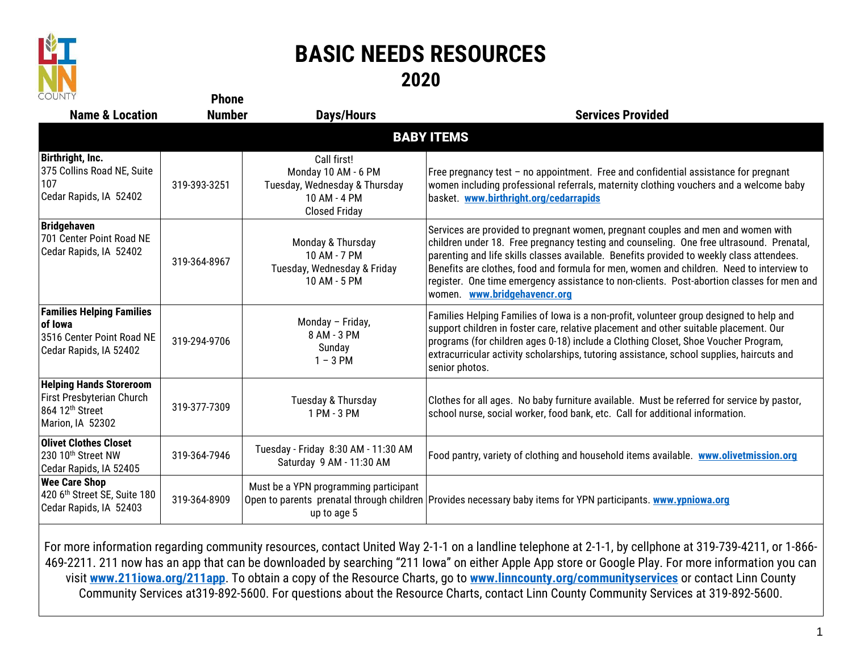

## **BASIC NEEDS RESOURCES 2020**

| <b>COUNTY</b>                                                                                                  | <b>Phone</b>  |                                                                                                             |                                                                                                                                                                                                                                                                                                                                                                                                                                                                                                    |  |  |  |
|----------------------------------------------------------------------------------------------------------------|---------------|-------------------------------------------------------------------------------------------------------------|----------------------------------------------------------------------------------------------------------------------------------------------------------------------------------------------------------------------------------------------------------------------------------------------------------------------------------------------------------------------------------------------------------------------------------------------------------------------------------------------------|--|--|--|
| <b>Name &amp; Location</b>                                                                                     | <b>Number</b> | <b>Days/Hours</b>                                                                                           | <b>Services Provided</b>                                                                                                                                                                                                                                                                                                                                                                                                                                                                           |  |  |  |
| <b>BABY ITEMS</b>                                                                                              |               |                                                                                                             |                                                                                                                                                                                                                                                                                                                                                                                                                                                                                                    |  |  |  |
| Birthright, Inc.<br>375 Collins Road NE, Suite<br>107<br>Cedar Rapids, IA 52402                                | 319-393-3251  | Call first!<br>Monday 10 AM - 6 PM<br>Tuesday, Wednesday & Thursday<br>10 AM - 4 PM<br><b>Closed Friday</b> | Free pregnancy test $-$ no appointment. Free and confidential assistance for pregnant<br>women including professional referrals, maternity clothing vouchers and a welcome baby<br>basket. www.birthright.org/cedarrapids                                                                                                                                                                                                                                                                          |  |  |  |
| <b>Bridgehaven</b><br>701 Center Point Road NE<br>Cedar Rapids, IA 52402                                       | 319-364-8967  | Monday & Thursday<br>10 AM - 7 PM<br>Tuesday, Wednesday & Friday<br>10 AM - 5 PM                            | Services are provided to pregnant women, pregnant couples and men and women with<br>children under 18. Free pregnancy testing and counseling. One free ultrasound. Prenatal,<br>parenting and life skills classes available. Benefits provided to weekly class attendees.<br>Benefits are clothes, food and formula for men, women and children. Need to interview to<br>register. One time emergency assistance to non-clients. Post-abortion classes for men and<br>women. www.bridgehavencr.org |  |  |  |
| <b>Families Helping Families</b><br>of lowa<br>3516 Center Point Road NE<br>Cedar Rapids, IA 52402             | 319-294-9706  | Monday - Friday,<br>8 AM - 3 PM<br>Sunday<br>$1 - 3$ PM                                                     | Families Helping Families of Iowa is a non-profit, volunteer group designed to help and<br>support children in foster care, relative placement and other suitable placement. Our<br>programs (for children ages 0-18) include a Clothing Closet, Shoe Voucher Program,<br>extracurricular activity scholarships, tutoring assistance, school supplies, haircuts and<br>senior photos.                                                                                                              |  |  |  |
| <b>Helping Hands Storeroom</b><br>First Presbyterian Church<br>864 12 <sup>th</sup> Street<br>Marion, IA 52302 | 319-377-7309  | Tuesday & Thursday<br>1 PM - 3 PM                                                                           | Clothes for all ages. No baby furniture available. Must be referred for service by pastor,<br>school nurse, social worker, food bank, etc. Call for additional information.                                                                                                                                                                                                                                                                                                                        |  |  |  |
| <b>Olivet Clothes Closet</b><br>230 10 <sup>th</sup> Street NW<br>Cedar Rapids, IA 52405                       | 319-364-7946  | Tuesday - Friday 8:30 AM - 11:30 AM<br>Saturday 9 AM - 11:30 AM                                             | Food pantry, variety of clothing and household items available. www.olivetmission.org                                                                                                                                                                                                                                                                                                                                                                                                              |  |  |  |
| <b>Wee Care Shop</b><br>420 6th Street SE, Suite 180<br>Cedar Rapids, IA 52403                                 | 319-364-8909  | Must be a YPN programming participant<br>up to age 5                                                        | Open to parents prenatal through children Provides necessary baby items for YPN participants. www.ypniowa.org                                                                                                                                                                                                                                                                                                                                                                                      |  |  |  |

For more information regarding community resources, contact United Way 2-1-1 on a landline telephone at 2-1-1, by cellphone at 319-739-4211, or 1-866- 469-2211. 211 now has an app that can be downloaded by searching "211 Iowa" on either Apple App store or Google Play. For more information you can visit **[www.211iowa.org/211app](http://www.211iowa.org/211app)**. To obtain a copy of the Resource Charts, go to **[www.linncounty.org/communityservices](http://www.linncounty.org/communityservices)** or contact Linn County Community Services at319-892-5600. For questions about the Resource Charts, contact Linn County Community Services at 319-892-5600.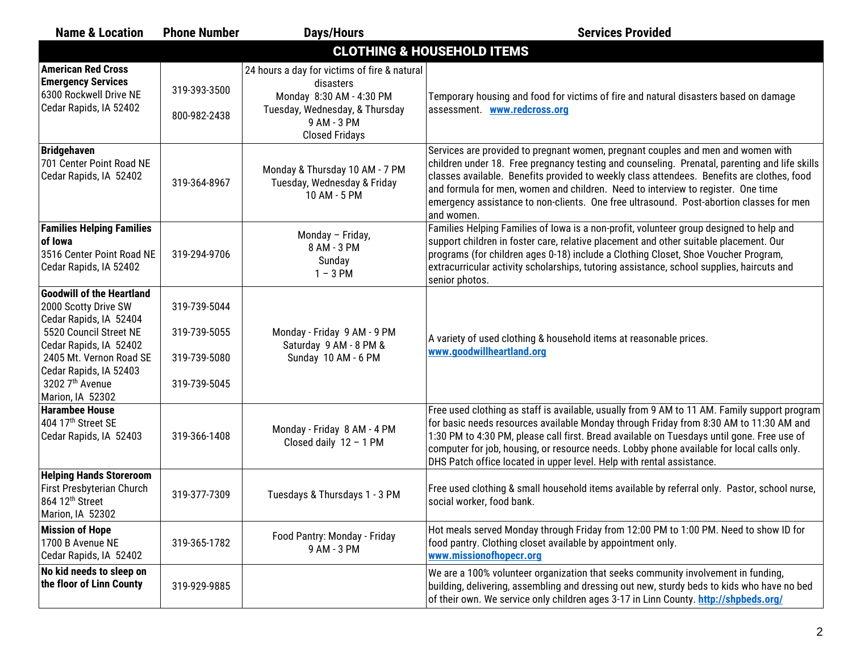| <b>Name &amp; Location</b>                                                                                                                                                                                                         | <b>Phone Number</b>                                          | <b>Days/Hours</b>                                                                                                                                               | <b>Services Provided</b>                                                                                                                                                                                                                                                                                                                                                                                                                                                     |  |  |  |
|------------------------------------------------------------------------------------------------------------------------------------------------------------------------------------------------------------------------------------|--------------------------------------------------------------|-----------------------------------------------------------------------------------------------------------------------------------------------------------------|------------------------------------------------------------------------------------------------------------------------------------------------------------------------------------------------------------------------------------------------------------------------------------------------------------------------------------------------------------------------------------------------------------------------------------------------------------------------------|--|--|--|
| <b>CLOTHING &amp; HOUSEHOLD ITEMS</b>                                                                                                                                                                                              |                                                              |                                                                                                                                                                 |                                                                                                                                                                                                                                                                                                                                                                                                                                                                              |  |  |  |
| <b>American Red Cross</b><br><b>Emergency Services</b><br>6300 Rockwell Drive NE<br>Cedar Rapids, IA 52402                                                                                                                         | 319-393-3500<br>800-982-2438                                 | 24 hours a day for victims of fire & natural<br>disasters<br>Monday 8:30 AM - 4:30 PM<br>Tuesday, Wednesday, & Thursday<br>9 AM - 3 PM<br><b>Closed Fridays</b> | Temporary housing and food for victims of fire and natural disasters based on damage<br>assessment. <b>www.redcross.org</b>                                                                                                                                                                                                                                                                                                                                                  |  |  |  |
| <b>Bridgehaven</b><br>701 Center Point Road NE<br>Cedar Rapids, IA 52402                                                                                                                                                           | 319-364-8967                                                 | Monday & Thursday 10 AM - 7 PM<br>Tuesday, Wednesday & Friday<br>10 AM - 5 PM                                                                                   | Services are provided to pregnant women, pregnant couples and men and women with<br>children under 18. Free pregnancy testing and counseling. Prenatal, parenting and life skills<br>classes available. Benefits provided to weekly class attendees. Benefits are clothes, food<br>and formula for men, women and children. Need to interview to register. One time<br>emergency assistance to non-clients. One free ultrasound. Post-abortion classes for men<br>and women. |  |  |  |
| <b>Families Helping Families</b><br>of Iowa<br>3516 Center Point Road NE<br>Cedar Rapids, IA 52402                                                                                                                                 | 319-294-9706                                                 | Monday - Friday,<br>8 AM - 3 PM<br>Sunday<br>$1 - 3$ PM                                                                                                         | Families Helping Families of Iowa is a non-profit, volunteer group designed to help and<br>support children in foster care, relative placement and other suitable placement. Our<br>programs (for children ages 0-18) include a Clothing Closet, Shoe Voucher Program,<br>extracurricular activity scholarships, tutoring assistance, school supplies, haircuts and<br>senior photos.                                                                                        |  |  |  |
| <b>Goodwill of the Heartland</b><br>2000 Scotty Drive SW<br>Cedar Rapids, IA 52404<br>5520 Council Street NE<br>Cedar Rapids, IA 52402<br>2405 Mt. Vernon Road SE<br>Cedar Rapids, IA 52403<br>3202 7th Avenue<br>Marion, IA 52302 | 319-739-5044<br>319-739-5055<br>319-739-5080<br>319-739-5045 | Monday - Friday 9 AM - 9 PM<br>Saturday 9 AM - 8 PM &<br>Sunday 10 AM - 6 PM                                                                                    | A variety of used clothing & household items at reasonable prices.<br>www.goodwillheartland.org                                                                                                                                                                                                                                                                                                                                                                              |  |  |  |
| <b>Harambee House</b><br>404 17th Street SE<br>Cedar Rapids, IA 52403                                                                                                                                                              | 319-366-1408                                                 | Monday - Friday 8 AM - 4 PM<br>Closed daily $12 - 1$ PM                                                                                                         | Free used clothing as staff is available, usually from 9 AM to 11 AM. Family support program<br>for basic needs resources available Monday through Friday from 8:30 AM to 11:30 AM and<br>1:30 PM to 4:30 PM, please call first. Bread available on Tuesdays until gone. Free use of<br>computer for job, housing, or resource needs. Lobby phone available for local calls only.<br>DHS Patch office located in upper level. Help with rental assistance.                   |  |  |  |
| <b>Helping Hands Storeroom</b><br>First Presbyterian Church<br>864 12 <sup>th</sup> Street<br>Marion, IA 52302                                                                                                                     | 319-377-7309                                                 | Tuesdays & Thursdays 1 - 3 PM                                                                                                                                   | Free used clothing & small household items available by referral only. Pastor, school nurse,<br>social worker, food bank.                                                                                                                                                                                                                                                                                                                                                    |  |  |  |
| <b>Mission of Hope</b><br>1700 B Avenue NE<br>Cedar Rapids, IA 52402                                                                                                                                                               | 319-365-1782                                                 | Food Pantry: Monday - Friday<br>9 AM - 3 PM                                                                                                                     | Hot meals served Monday through Friday from 12:00 PM to 1:00 PM. Need to show ID for<br>food pantry. Clothing closet available by appointment only.<br>www.missionofhopecr.org                                                                                                                                                                                                                                                                                               |  |  |  |
| No kid needs to sleep on<br>the floor of Linn County                                                                                                                                                                               | 319-929-9885                                                 |                                                                                                                                                                 | We are a 100% volunteer organization that seeks community involvement in funding,<br>building, delivering, assembling and dressing out new, sturdy beds to kids who have no bed<br>of their own. We service only children ages 3-17 in Linn County. http://shpbeds.org/                                                                                                                                                                                                      |  |  |  |